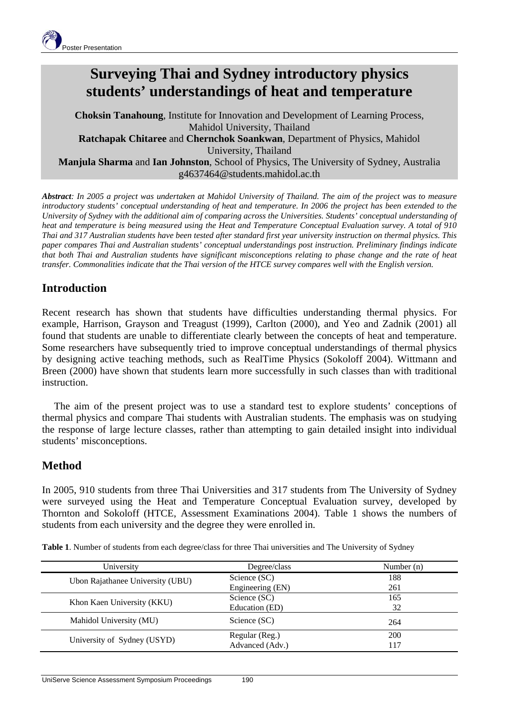

# **Surveying Thai and Sydney introductory physics students' understandings of heat and temperature**

**Choksin Tanahoung**, Institute for Innovation and Development of Learning Process, Mahidol University, Thailand **Ratchapak Chitaree** and **Chernchok Soankwan**, Department of Physics, Mahidol University, Thailand **Manjula Sharma** and **Ian Johnston**, School of Physics, The University of Sydney, Australia g4637464@students.mahidol.ac.th

*Abstract: In 2005 a project was undertaken at Mahidol University of Thailand. The aim of the project was to measure introductory students' conceptual understanding of heat and temperature. In 2006 the project has been extended to the University of Sydney with the additional aim of comparing across the Universities. Students' conceptual understanding of heat and temperature is being measured using the Heat and Temperature Conceptual Evaluation survey. A total of 910 Thai and 317 Australian students have been tested after standard first year university instruction on thermal physics. This paper compares Thai and Australian students' conceptual understandings post instruction. Preliminary findings indicate that both Thai and Australian students have significant misconceptions relating to phase change and the rate of heat transfer. Commonalities indicate that the Thai version of the HTCE survey compares well with the English version.*

## **Introduction**

Recent research has shown that students have difficulties understanding thermal physics. For example, Harrison, Grayson and Treagust (1999), Carlton (2000), and Yeo and Zadnik (2001) all found that students are unable to differentiate clearly between the concepts of heat and temperature. Some researchers have subsequently tried to improve conceptual understandings of thermal physics by designing active teaching methods, such as RealTime Physics (Sokoloff 2004). Wittmann and Breen (2000) have shown that students learn more successfully in such classes than with traditional instruction.

The aim of the present project was to use a standard test to explore students' conceptions of thermal physics and compare Thai students with Australian students. The emphasis was on studying the response of large lecture classes, rather than attempting to gain detailed insight into individual students' misconceptions.

### **Method**

In 2005, 910 students from three Thai Universities and 317 students from The University of Sydney were surveyed using the Heat and Temperature Conceptual Evaluation survey, developed by Thornton and Sokoloff (HTCE, Assessment Examinations 2004). Table 1 shows the numbers of students from each university and the degree they were enrolled in.

| University                       | Degree/class     | Number $(n)$ |
|----------------------------------|------------------|--------------|
| Ubon Rajathanee University (UBU) | Science (SC)     | 188          |
|                                  | Engineering (EN) | 261          |
| Khon Kaen University (KKU)       | Science (SC)     | 165          |
|                                  | Education (ED)   | 32           |
| Mahidol University (MU)          | Science (SC)     | 264          |
| University of Sydney (USYD)      | Regular (Reg.)   | <b>200</b>   |
|                                  | Advanced (Adv.)  | l 17         |

**Table 1**. Number of students from each degree/class for three Thai universities and The University of Sydney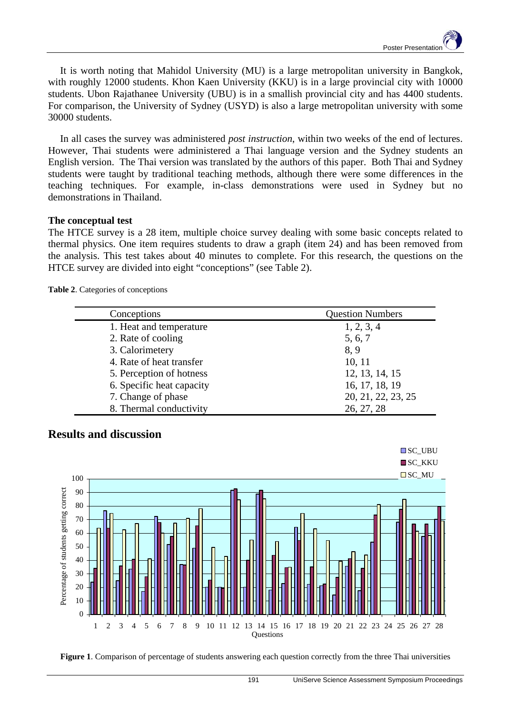It is worth noting that Mahidol University (MU) is a large metropolitan university in Bangkok, with roughly 12000 students. Khon Kaen University (KKU) is in a large provincial city with 10000 students. Ubon Rajathanee University (UBU) is in a smallish provincial city and has 4400 students. For comparison, the University of Sydney (USYD) is also a large metropolitan university with some 30000 students.

In all cases the survey was administered *post instruction*, within two weeks of the end of lectures. However, Thai students were administered a Thai language version and the Sydney students an English version. The Thai version was translated by the authors of this paper. Both Thai and Sydney students were taught by traditional teaching methods, although there were some differences in the teaching techniques. For example, in-class demonstrations were used in Sydney but no demonstrations in Thailand.

#### **The conceptual test**

The HTCE survey is a 28 item, multiple choice survey dealing with some basic concepts related to thermal physics. One item requires students to draw a graph (item 24) and has been removed from the analysis. This test takes about 40 minutes to complete. For this research, the questions on the HTCE survey are divided into eight "conceptions" (see Table 2).

**Table 2**. Categories of conceptions

| Conceptions               | <b>Question Numbers</b> |
|---------------------------|-------------------------|
| 1. Heat and temperature   | 1, 2, 3, 4              |
| 2. Rate of cooling        | 5, 6, 7                 |
| 3. Calorimetery           | 8, 9                    |
| 4. Rate of heat transfer  | 10, 11                  |
| 5. Perception of hotness  | 12, 13, 14, 15          |
| 6. Specific heat capacity | 16, 17, 18, 19          |
| 7. Change of phase        | 20, 21, 22, 23, 25      |
| 8. Thermal conductivity   | 26, 27, 28              |





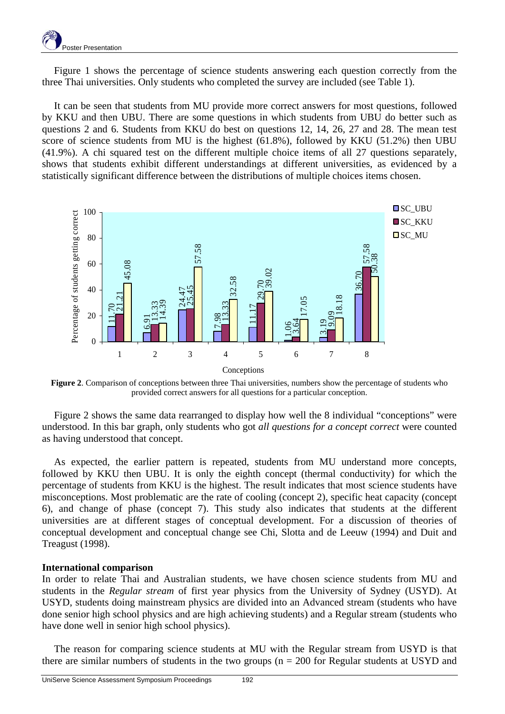Figure 1 shows the percentage of science students answering each question correctly from the three Thai universities. Only students who completed the survey are included (see Table 1).

It can be seen that students from MU provide more correct answers for most questions, followed by KKU and then UBU. There are some questions in which students from UBU do better such as questions 2 and 6. Students from KKU do best on questions 12, 14, 26, 27 and 28. The mean test score of science students from MU is the highest (61.8%), followed by KKU (51.2%) then UBU (41.9%). A chi squared test on the different multiple choice items of all 27 questions separately, shows that students exhibit different understandings at different universities, as evidenced by a statistically significant difference between the distributions of multiple choices items chosen.



**Figure 2**. Comparison of conceptions between three Thai universities, numbers show the percentage of students who provided correct answers for all questions for a particular conception.

Figure 2 shows the same data rearranged to display how well the 8 individual "conceptions" were understood. In this bar graph, only students who got *all questions for a concept correct* were counted as having understood that concept.

As expected, the earlier pattern is repeated, students from MU understand more concepts, followed by KKU then UBU. It is only the eighth concept (thermal conductivity) for which the percentage of students from KKU is the highest. The result indicates that most science students have misconceptions. Most problematic are the rate of cooling (concept 2), specific heat capacity (concept 6), and change of phase (concept 7). This study also indicates that students at the different universities are at different stages of conceptual development. For a discussion of theories of conceptual development and conceptual change see Chi, Slotta and de Leeuw (1994) and Duit and Treagust (1998).

#### **International comparison**

In order to relate Thai and Australian students, we have chosen science students from MU and students in the *Regular stream* of first year physics from the University of Sydney (USYD). At USYD, students doing mainstream physics are divided into an Advanced stream (students who have done senior high school physics and are high achieving students) and a Regular stream (students who have done well in senior high school physics).

The reason for comparing science students at MU with the Regular stream from USYD is that there are similar numbers of students in the two groups ( $n = 200$  for Regular students at USYD and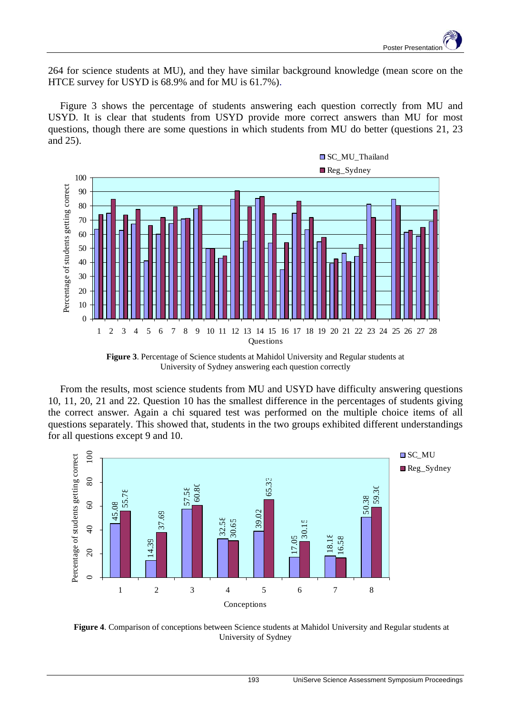264 for science students at MU), and they have similar background knowledge (mean score on the HTCE survey for USYD is 68.9% and for MU is 61.7%).

Figure 3 shows the percentage of students answering each question correctly from MU and USYD. It is clear that students from USYD provide more correct answers than MU for most questions, though there are some questions in which students from MU do better (questions 21, 23 and 25).



**Figure 3**. Percentage of Science students at Mahidol University and Regular students at University of Sydney answering each question correctly

From the results, most science students from MU and USYD have difficulty answering questions 10, 11, 20, 21 and 22. Question 10 has the smallest difference in the percentages of students giving the correct answer. Again a chi squared test was performed on the multiple choice items of all questions separately. This showed that, students in the two groups exhibited different understandings for all questions except 9 and 10.



**Figure 4**. Comparison of conceptions between Science students at Mahidol University and Regular students at University of Sydney